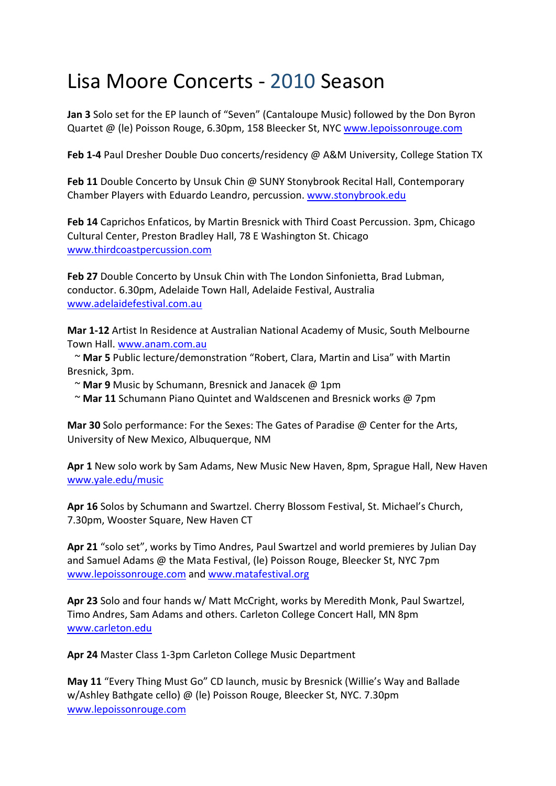## Lisa Moore Concerts ‐ 2010 Season

**Jan 3** Solo set for the EP launch of "Seven" (Cantaloupe Music) followed by the Don Byron Quartet @ (le) Poisson Rouge, 6.30pm, 158 Bleecker St, NYC www.lepoissonrouge.com

**Feb 1‐4** Paul Dresher Double Duo concerts/residency @ A&M University, College Station TX

**Feb 11** Double Concerto by Unsuk Chin @ SUNY Stonybrook Recital Hall, Contemporary Chamber Players with Eduardo Leandro, percussion. www.stonybrook.edu

**Feb 14** Caprichos Enfaticos, by Martin Bresnick with Third Coast Percussion. 3pm, Chicago Cultural Center, Preston Bradley Hall, 78 E Washington St. Chicago www.thirdcoastpercussion.com

**Feb 27** Double Concerto by Unsuk Chin with The London Sinfonietta, Brad Lubman, conductor. 6.30pm, Adelaide Town Hall, Adelaide Festival, Australia www.adelaidefestival.com.au

**Mar 1‐12** Artist In Residence at Australian National Academy of Music, South Melbourne Town Hall. www.anam.com.au

 ~ **Mar 5** Public lecture/demonstration "Robert, Clara, Martin and Lisa" with Martin Bresnick, 3pm.

- ~ **Mar 9** Music by Schumann, Bresnick and Janacek @ 1pm
- ~ **Mar 11** Schumann Piano Quintet and Waldscenen and Bresnick works @ 7pm

**Mar 30** Solo performance: For the Sexes: The Gates of Paradise @ Center for the Arts, University of New Mexico, Albuquerque, NM

**Apr 1** New solo work by Sam Adams, New Music New Haven, 8pm, Sprague Hall, New Haven www.yale.edu/music

**Apr 16** Solos by Schumann and Swartzel. Cherry Blossom Festival, St. Michael's Church, 7.30pm, Wooster Square, New Haven CT

**Apr 21** "solo set", works by Timo Andres, Paul Swartzel and world premieres by Julian Day and Samuel Adams @ the Mata Festival, (le) Poisson Rouge, Bleecker St, NYC 7pm www.lepoissonrouge.com and www.matafestival.org

**Apr 23** Solo and four hands w/ Matt McCright, works by Meredith Monk, Paul Swartzel, Timo Andres, Sam Adams and others. Carleton College Concert Hall, MN 8pm www.carleton.edu

**Apr 24** Master Class 1‐3pm Carleton College Music Department

**May 11** "Every Thing Must Go" CD launch, music by Bresnick (Willie's Way and Ballade w/Ashley Bathgate cello) @ (le) Poisson Rouge, Bleecker St, NYC. 7.30pm www.lepoissonrouge.com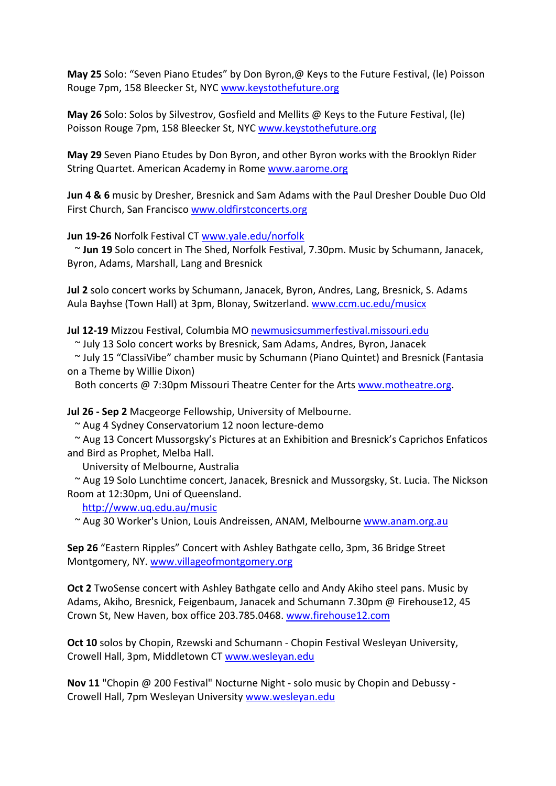**May 25** Solo: "Seven Piano Etudes" by Don Byron,@ Keys to the Future Festival, (le) Poisson Rouge 7pm, 158 Bleecker St, NYC www.keystothefuture.org

**May 26** Solo: Solos by Silvestrov, Gosfield and Mellits @ Keys to the Future Festival, (le) Poisson Rouge 7pm, 158 Bleecker St, NYC www.keystothefuture.org

**May 29** Seven Piano Etudes by Don Byron, and other Byron works with the Brooklyn Rider String Quartet. American Academy in Rome www.aarome.org

**Jun 4 & 6** music by Dresher, Bresnick and Sam Adams with the Paul Dresher Double Duo Old First Church, San Francisco www.oldfirstconcerts.org

**Jun 19‐26** Norfolk Festival CT www.yale.edu/norfolk

 ~ **Jun 19** Solo concert in The Shed, Norfolk Festival, 7.30pm. Music by Schumann, Janacek, Byron, Adams, Marshall, Lang and Bresnick

**Jul 2** solo concert works by Schumann, Janacek, Byron, Andres, Lang, Bresnick, S. Adams Aula Bayhse (Town Hall) at 3pm, Blonay, Switzerland. www.ccm.uc.edu/musicx

**Jul 12‐19** Mizzou Festival, Columbia MO newmusicsummerfestival.missouri.edu

~ July 13 Solo concert works by Bresnick, Sam Adams, Andres, Byron, Janacek

 ~ July 15 "ClassiVibe" chamber music by Schumann (Piano Quintet) and Bresnick (Fantasia on a Theme by Willie Dixon)

Both concerts @ 7:30pm Missouri Theatre Center for the Arts www.motheatre.org.

**Jul 26 ‐ Sep 2** Macgeorge Fellowship, University of Melbourne.

~ Aug 4 Sydney Conservatorium 12 noon lecture‐demo

 ~ Aug 13 Concert Mussorgsky's Pictures at an Exhibition and Bresnick's Caprichos Enfaticos and Bird as Prophet, Melba Hall.

University of Melbourne, Australia

 ~ Aug 19 Solo Lunchtime concert, Janacek, Bresnick and Mussorgsky, St. Lucia. The Nickson Room at 12:30pm, Uni of Queensland.

http://www.uq.edu.au/music

~ Aug 30 Worker's Union, Louis Andreissen, ANAM, Melbourne www.anam.org.au

**Sep 26** "Eastern Ripples" Concert with Ashley Bathgate cello, 3pm, 36 Bridge Street Montgomery, NY. www.villageofmontgomery.org

**Oct 2** TwoSense concert with Ashley Bathgate cello and Andy Akiho steel pans. Music by Adams, Akiho, Bresnick, Feigenbaum, Janacek and Schumann 7.30pm @ Firehouse12, 45 Crown St, New Haven, box office 203.785.0468. www.firehouse12.com

**Oct 10** solos by Chopin, Rzewski and Schumann - Chopin Festival Wesleyan University, Crowell Hall, 3pm, Middletown CT www.wesleyan.edu

**Nov 11** "Chopin @ 200 Festival" Nocturne Night ‐ solo music by Chopin and Debussy ‐ Crowell Hall, 7pm Wesleyan University www.wesleyan.edu